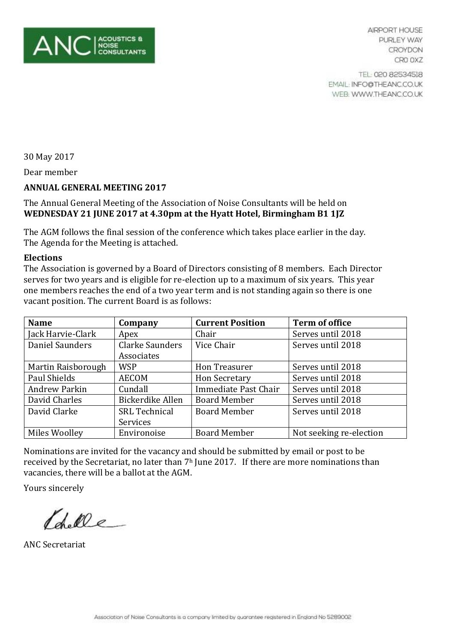

AIRPORT HOUSE PURLEY WAY CROYDON CRO OXZ

TEL: 020 82534518 EMAIL: INFO@THEANC.CO.UK WEB: WWW.THEANC.CO.UK

30 May 2017

Dear member

# **ANNUAL GENERAL MEETING 2017**

# The Annual General Meeting of the Association of Noise Consultants will be held on **WEDNESDAY 21 JUNE 2017 at 4.30pm at the Hyatt Hotel, Birmingham B1 1JZ**

The AGM follows the final session of the conference which takes place earlier in the day. The Agenda for the Meeting is attached.

# **Elections**

The Association is governed by a Board of Directors consisting of 8 members. Each Director serves for two years and is eligible for re-election up to a maximum of six years. This year one members reaches the end of a two year term and is not standing again so there is one vacant position. The current Board is as follows:

| <b>Name</b>        | Company                | <b>Current Position</b> | <b>Term of office</b>   |
|--------------------|------------------------|-------------------------|-------------------------|
| Jack Harvie-Clark  | Apex                   | Chair                   | Serves until 2018       |
| Daniel Saunders    | <b>Clarke Saunders</b> | Vice Chair              | Serves until 2018       |
|                    | Associates             |                         |                         |
| Martin Raisborough | <b>WSP</b>             | Hon Treasurer           | Serves until 2018       |
| Paul Shields       | <b>AECOM</b>           | <b>Hon Secretary</b>    | Serves until 2018       |
| Andrew Parkin      | Cundall                | Immediate Past Chair    | Serves until 2018       |
| David Charles      | Bickerdike Allen       | <b>Board Member</b>     | Serves until 2018       |
| David Clarke       | <b>SRL</b> Technical   | <b>Board Member</b>     | Serves until 2018       |
|                    | Services               |                         |                         |
| Miles Woolley      | Environoise            | <b>Board Member</b>     | Not seeking re-election |

Nominations are invited for the vacancy and should be submitted by email or post to be received by the Secretariat, no later than 7<sup>h</sup> June 2017. If there are more nominations than vacancies, there will be a ballot at the AGM.

Yours sincerely

*ld.* De

ANC Secretariat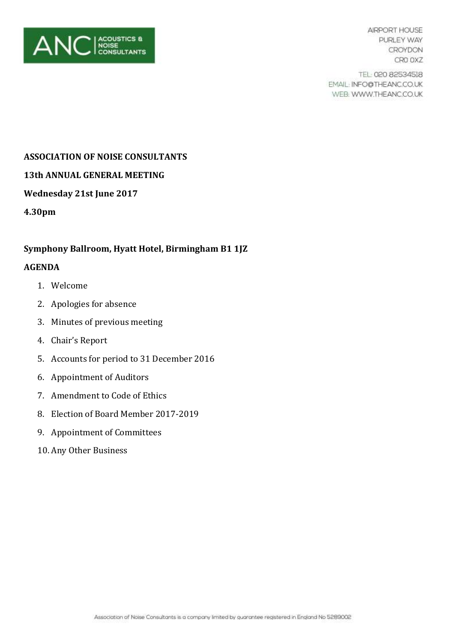

AIRPORT HOUSE PURLEY WAY CROYDON CRO OXZ

TEL: 020 82534518 EMAIL: INFO@THEANC.CO.UK WEB: WWW.THEANC.CO.UK

# **ASSOCIATION OF NOISE CONSULTANTS**

# **13th ANNUAL GENERAL MEETING**

# **Wednesday 21st June 2017**

**4.30pm**

# **Symphony Ballroom, Hyatt Hotel, Birmingham B1 1JZ**

# **AGENDA**

- 1. Welcome
- 2. Apologies for absence
- 3. Minutes of previous meeting
- 4. Chair's Report
- 5. Accounts for period to 31 December 2016
- 6. Appointment of Auditors
- 7. Amendment to Code of Ethics
- 8. Election of Board Member 2017-2019
- 9. Appointment of Committees
- 10. Any Other Business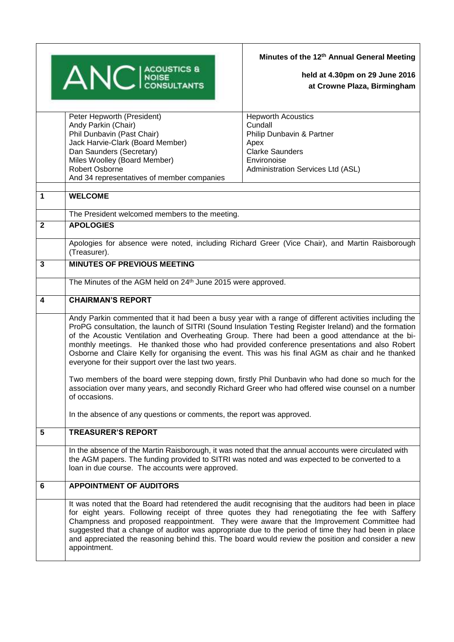|                | ANC ACOUSTICS &                                                                                                                                                                                                                                                                                                                                                                                                                                                                                                                                                              | Minutes of the 12 <sup>th</sup> Annual General Meeting<br>held at 4.30pm on 29 June 2016<br>at Crowne Plaza, Birmingham                                                                                                                                                                                                                                                                                                                                                                                        |  |
|----------------|------------------------------------------------------------------------------------------------------------------------------------------------------------------------------------------------------------------------------------------------------------------------------------------------------------------------------------------------------------------------------------------------------------------------------------------------------------------------------------------------------------------------------------------------------------------------------|----------------------------------------------------------------------------------------------------------------------------------------------------------------------------------------------------------------------------------------------------------------------------------------------------------------------------------------------------------------------------------------------------------------------------------------------------------------------------------------------------------------|--|
|                | Peter Hepworth (President)<br>Andy Parkin (Chair)                                                                                                                                                                                                                                                                                                                                                                                                                                                                                                                            | <b>Hepworth Acoustics</b><br>Cundall                                                                                                                                                                                                                                                                                                                                                                                                                                                                           |  |
|                | Phil Dunbavin (Past Chair)<br>Jack Harvie-Clark (Board Member)                                                                                                                                                                                                                                                                                                                                                                                                                                                                                                               | Philip Dunbavin & Partner<br>Apex                                                                                                                                                                                                                                                                                                                                                                                                                                                                              |  |
|                | Dan Saunders (Secretary)<br>Miles Woolley (Board Member)                                                                                                                                                                                                                                                                                                                                                                                                                                                                                                                     | <b>Clarke Saunders</b><br>Environoise                                                                                                                                                                                                                                                                                                                                                                                                                                                                          |  |
|                | Robert Osborne                                                                                                                                                                                                                                                                                                                                                                                                                                                                                                                                                               | Administration Services Ltd (ASL)                                                                                                                                                                                                                                                                                                                                                                                                                                                                              |  |
|                | And 34 representatives of member companies                                                                                                                                                                                                                                                                                                                                                                                                                                                                                                                                   |                                                                                                                                                                                                                                                                                                                                                                                                                                                                                                                |  |
| 1              | <b>WELCOME</b>                                                                                                                                                                                                                                                                                                                                                                                                                                                                                                                                                               |                                                                                                                                                                                                                                                                                                                                                                                                                                                                                                                |  |
|                | The President welcomed members to the meeting.                                                                                                                                                                                                                                                                                                                                                                                                                                                                                                                               |                                                                                                                                                                                                                                                                                                                                                                                                                                                                                                                |  |
| $\overline{2}$ | <b>APOLOGIES</b>                                                                                                                                                                                                                                                                                                                                                                                                                                                                                                                                                             |                                                                                                                                                                                                                                                                                                                                                                                                                                                                                                                |  |
|                | (Treasurer).                                                                                                                                                                                                                                                                                                                                                                                                                                                                                                                                                                 | Apologies for absence were noted, including Richard Greer (Vice Chair), and Martin Raisborough                                                                                                                                                                                                                                                                                                                                                                                                                 |  |
| $\mathbf{3}$   | <b>MINUTES OF PREVIOUS MEETING</b>                                                                                                                                                                                                                                                                                                                                                                                                                                                                                                                                           |                                                                                                                                                                                                                                                                                                                                                                                                                                                                                                                |  |
|                | The Minutes of the AGM held on 24 <sup>th</sup> June 2015 were approved.                                                                                                                                                                                                                                                                                                                                                                                                                                                                                                     |                                                                                                                                                                                                                                                                                                                                                                                                                                                                                                                |  |
| 4              | <b>CHAIRMAN'S REPORT</b>                                                                                                                                                                                                                                                                                                                                                                                                                                                                                                                                                     |                                                                                                                                                                                                                                                                                                                                                                                                                                                                                                                |  |
|                | Andy Parkin commented that it had been a busy year with a range of different activities including the<br>ProPG consultation, the launch of SITRI (Sound Insulation Testing Register Ireland) and the formation<br>of the Acoustic Ventilation and Overheating Group. There had been a good attendance at the bi-<br>monthly meetings. He thanked those who had provided conference presentations and also Robert<br>Osborne and Claire Kelly for organising the event. This was his final AGM as chair and he thanked<br>everyone for their support over the last two years. |                                                                                                                                                                                                                                                                                                                                                                                                                                                                                                                |  |
|                | Two members of the board were stepping down, firstly Phil Dunbavin who had done so much for the<br>association over many years, and secondly Richard Greer who had offered wise counsel on a number<br>of occasions.                                                                                                                                                                                                                                                                                                                                                         |                                                                                                                                                                                                                                                                                                                                                                                                                                                                                                                |  |
|                | In the absence of any questions or comments, the report was approved.                                                                                                                                                                                                                                                                                                                                                                                                                                                                                                        |                                                                                                                                                                                                                                                                                                                                                                                                                                                                                                                |  |
| $5\phantom{1}$ | <b>TREASURER'S REPORT</b>                                                                                                                                                                                                                                                                                                                                                                                                                                                                                                                                                    |                                                                                                                                                                                                                                                                                                                                                                                                                                                                                                                |  |
|                | In the absence of the Martin Raisborough, it was noted that the annual accounts were circulated with<br>the AGM papers. The funding provided to SITRI was noted and was expected to be converted to a<br>loan in due course. The accounts were approved.                                                                                                                                                                                                                                                                                                                     |                                                                                                                                                                                                                                                                                                                                                                                                                                                                                                                |  |
| 6              | <b>APPOINTMENT OF AUDITORS</b>                                                                                                                                                                                                                                                                                                                                                                                                                                                                                                                                               |                                                                                                                                                                                                                                                                                                                                                                                                                                                                                                                |  |
|                | appointment.                                                                                                                                                                                                                                                                                                                                                                                                                                                                                                                                                                 | It was noted that the Board had retendered the audit recognising that the auditors had been in place<br>for eight years. Following receipt of three quotes they had renegotiating the fee with Saffery<br>Champness and proposed reappointment. They were aware that the Improvement Committee had<br>suggested that a change of auditor was appropriate due to the period of time they had been in place<br>and appreciated the reasoning behind this. The board would review the position and consider a new |  |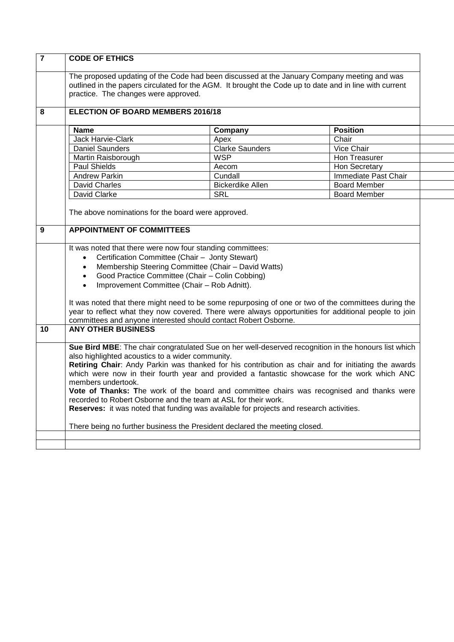| $\overline{7}$  | <b>CODE OF ETHICS</b>                                                                                                                                                                                                                                                                                                                                                                                                                                                                                                                                                                                                                                                                                                         |                         |                      |  |  |
|-----------------|-------------------------------------------------------------------------------------------------------------------------------------------------------------------------------------------------------------------------------------------------------------------------------------------------------------------------------------------------------------------------------------------------------------------------------------------------------------------------------------------------------------------------------------------------------------------------------------------------------------------------------------------------------------------------------------------------------------------------------|-------------------------|----------------------|--|--|
|                 | The proposed updating of the Code had been discussed at the January Company meeting and was                                                                                                                                                                                                                                                                                                                                                                                                                                                                                                                                                                                                                                   |                         |                      |  |  |
|                 | outlined in the papers circulated for the AGM. It brought the Code up to date and in line with current                                                                                                                                                                                                                                                                                                                                                                                                                                                                                                                                                                                                                        |                         |                      |  |  |
|                 | practice. The changes were approved.                                                                                                                                                                                                                                                                                                                                                                                                                                                                                                                                                                                                                                                                                          |                         |                      |  |  |
| 8               | <b>ELECTION OF BOARD MEMBERS 2016/18</b>                                                                                                                                                                                                                                                                                                                                                                                                                                                                                                                                                                                                                                                                                      |                         |                      |  |  |
|                 | <b>Name</b>                                                                                                                                                                                                                                                                                                                                                                                                                                                                                                                                                                                                                                                                                                                   | Company                 | <b>Position</b>      |  |  |
|                 | Jack Harvie-Clark                                                                                                                                                                                                                                                                                                                                                                                                                                                                                                                                                                                                                                                                                                             | Apex                    | Chair                |  |  |
|                 | <b>Daniel Saunders</b>                                                                                                                                                                                                                                                                                                                                                                                                                                                                                                                                                                                                                                                                                                        | <b>Clarke Saunders</b>  | Vice Chair           |  |  |
|                 | Martin Raisborough                                                                                                                                                                                                                                                                                                                                                                                                                                                                                                                                                                                                                                                                                                            | <b>WSP</b>              | Hon Treasurer        |  |  |
|                 | <b>Paul Shields</b>                                                                                                                                                                                                                                                                                                                                                                                                                                                                                                                                                                                                                                                                                                           | Aecom                   | Hon Secretary        |  |  |
|                 | <b>Andrew Parkin</b>                                                                                                                                                                                                                                                                                                                                                                                                                                                                                                                                                                                                                                                                                                          | Cundall                 | Immediate Past Chair |  |  |
|                 | <b>David Charles</b>                                                                                                                                                                                                                                                                                                                                                                                                                                                                                                                                                                                                                                                                                                          | <b>Bickerdike Allen</b> | <b>Board Member</b>  |  |  |
|                 | David Clarke                                                                                                                                                                                                                                                                                                                                                                                                                                                                                                                                                                                                                                                                                                                  | <b>SRL</b>              | <b>Board Member</b>  |  |  |
|                 | The above nominations for the board were approved.                                                                                                                                                                                                                                                                                                                                                                                                                                                                                                                                                                                                                                                                            |                         |                      |  |  |
| 9               | <b>APPOINTMENT OF COMMITTEES</b>                                                                                                                                                                                                                                                                                                                                                                                                                                                                                                                                                                                                                                                                                              |                         |                      |  |  |
| $\overline{10}$ | It was noted that there were now four standing committees:<br>Certification Committee (Chair - Jonty Stewart)<br>$\bullet$<br>Membership Steering Committee (Chair - David Watts)<br>$\bullet$<br>Good Practice Committee (Chair - Colin Cobbing)<br>$\bullet$<br>Improvement Committee (Chair - Rob Adnitt).<br>$\bullet$<br>It was noted that there might need to be some repurposing of one or two of the committees during the<br>year to reflect what they now covered. There were always opportunities for additional people to join<br>committees and anyone interested should contact Robert Osborne.                                                                                                                 |                         |                      |  |  |
|                 | <b>ANY OTHER BUSINESS</b>                                                                                                                                                                                                                                                                                                                                                                                                                                                                                                                                                                                                                                                                                                     |                         |                      |  |  |
|                 | Sue Bird MBE: The chair congratulated Sue on her well-deserved recognition in the honours list which<br>also highlighted acoustics to a wider community.<br>Retiring Chair: Andy Parkin was thanked for his contribution as chair and for initiating the awards<br>which were now in their fourth year and provided a fantastic showcase for the work which ANC<br>members undertook.<br>Vote of Thanks: The work of the board and committee chairs was recognised and thanks were<br>recorded to Robert Osborne and the team at ASL for their work.<br>Reserves: it was noted that funding was available for projects and research activities.<br>There being no further business the President declared the meeting closed. |                         |                      |  |  |
|                 |                                                                                                                                                                                                                                                                                                                                                                                                                                                                                                                                                                                                                                                                                                                               |                         |                      |  |  |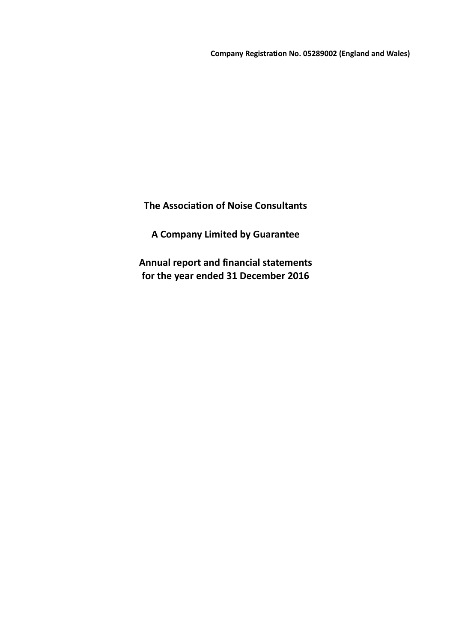**Company Registration No. 05289002 (England and Wales)**

**The Association of Noise Consultants**

**A Company Limited by Guarantee**

**Annual report and financial statements for the year ended 31 December 2016**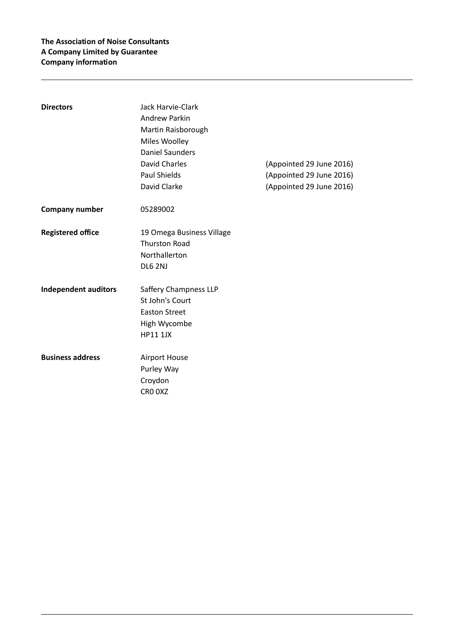**The Association of Noise Consultants A Company Limited by Guarantee Company information**

| <b>Directors</b>            | Jack Harvie-Clark<br><b>Andrew Parkin</b><br>Martin Raisborough<br>Miles Woolley<br><b>Daniel Saunders</b><br><b>David Charles</b><br><b>Paul Shields</b><br>David Clarke | (Appointed 29 June 2016)<br>(Appointed 29 June 2016)<br>(Appointed 29 June 2016) |
|-----------------------------|---------------------------------------------------------------------------------------------------------------------------------------------------------------------------|----------------------------------------------------------------------------------|
|                             |                                                                                                                                                                           |                                                                                  |
| <b>Company number</b>       | 05289002                                                                                                                                                                  |                                                                                  |
| <b>Registered office</b>    | 19 Omega Business Village<br><b>Thurston Road</b><br>Northallerton<br><b>DL6 2NJ</b>                                                                                      |                                                                                  |
| <b>Independent auditors</b> | Saffery Champness LLP<br>St John's Court<br><b>Easton Street</b><br>High Wycombe<br><b>HP11 1JX</b>                                                                       |                                                                                  |
| <b>Business address</b>     | <b>Airport House</b><br>Purley Way<br>Croydon<br>CRO OXZ                                                                                                                  |                                                                                  |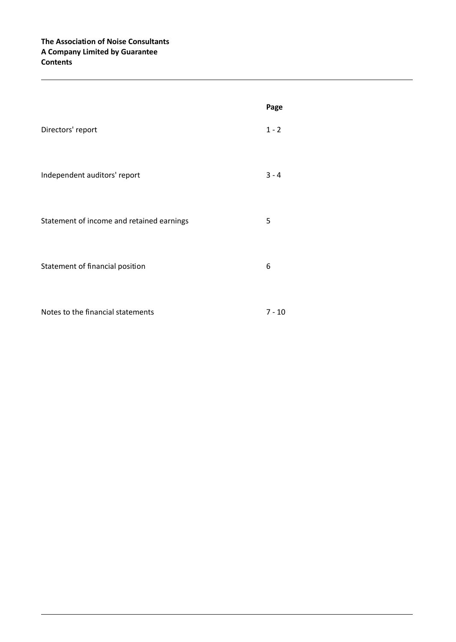|                                           | Page    |
|-------------------------------------------|---------|
| Directors' report                         | $1 - 2$ |
| Independent auditors' report              | $3 - 4$ |
| Statement of income and retained earnings | 5       |
| Statement of financial position           | 6       |
| Notes to the financial statements         | 7 - 10  |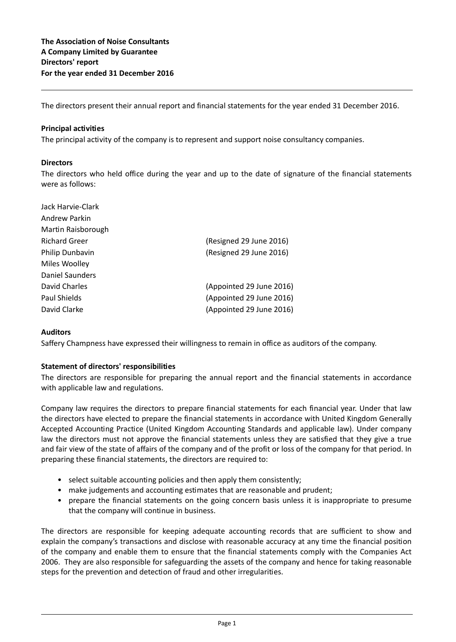The directors present their annual report and financial statements for the year ended 31 December 2016.

## **Principal activities**

The principal activity of the company is to represent and support noise consultancy companies.

### **Directors**

The directors who held office during the year and up to the date of signature of the financial statements were as follows:

| Jack Harvie-Clark      |                          |
|------------------------|--------------------------|
| Andrew Parkin          |                          |
| Martin Raisborough     |                          |
| <b>Richard Greer</b>   | (Resigned 29 June 2016)  |
| <b>Philip Dunbavin</b> | (Resigned 29 June 2016)  |
| Miles Woolley          |                          |
| Daniel Saunders        |                          |
| David Charles          | (Appointed 29 June 2016) |
| Paul Shields           | (Appointed 29 June 2016) |
| David Clarke           | (Appointed 29 June 2016) |
|                        |                          |

### **Auditors**

Saffery Champness have expressed their willingness to remain in office as auditors of the company.

### **Statement of directors' responsibilities**

The directors are responsible for preparing the annual report and the financial statements in accordance with applicable law and regulations.

Company law requires the directors to prepare financial statements for each financial year. Under that law the directors have elected to prepare the financial statements in accordance with United Kingdom Generally Accepted Accounting Practice (United Kingdom Accounting Standards and applicable law). Under company law the directors must not approve the financial statements unless they are satisfied that they give a true and fair view of the state of affairs of the company and of the profit or loss of the company for that period. In preparing these financial statements, the directors are required to:

- select suitable accounting policies and then apply them consistently;
- make judgements and accounting estimates that are reasonable and prudent;
- prepare the financial statements on the going concern basis unless it is inappropriate to presume that the company will continue in business.

The directors are responsible for keeping adequate accounting records that are sufficient to show and explain the company's transactions and disclose with reasonable accuracy at any time the financial position of the company and enable them to ensure that the financial statements comply with the Companies Act 2006. They are also responsible for safeguarding the assets of the company and hence for taking reasonable steps for the prevention and detection of fraud and other irregularities.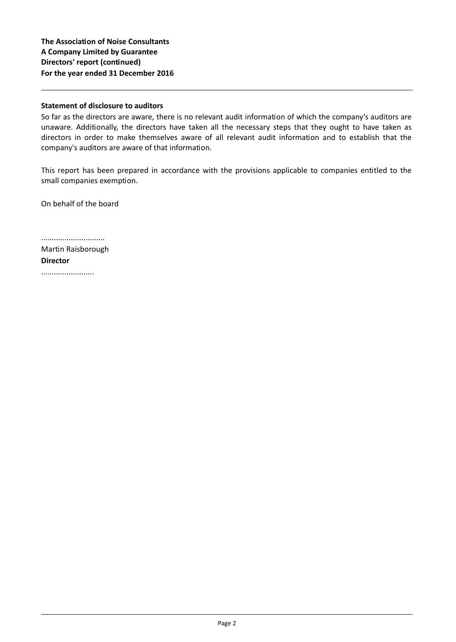### **Statement of disclosure to auditors**

So far as the directors are aware, there is no relevant audit information of which the company's auditors are unaware. Additionally, the directors have taken all the necessary steps that they ought to have taken as directors in order to make themselves aware of all relevant audit information and to establish that the company's auditors are aware of that information.

This report has been prepared in accordance with the provisions applicable to companies entitled to the small companies exemption.

On behalf of the board

..............................

Martin Raisborough **Director** .........................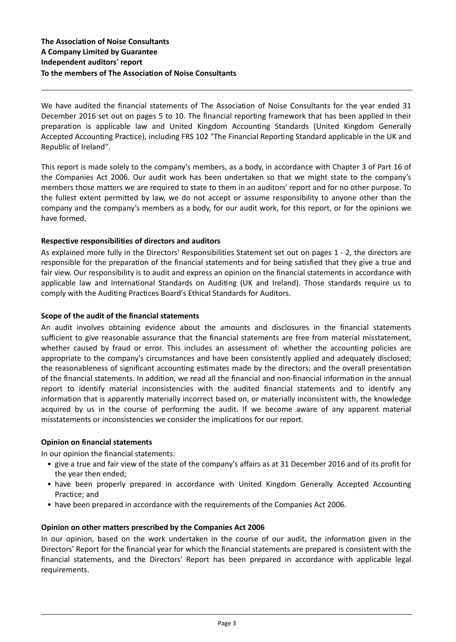We have audited the financial statements of The Association of Noise Consultants for the year ended 31 December 2016 set out on pages 5 to 10. The financial reporting framework that has been applied in their preparation is applicable law and United Kingdom Accounting Standards (United Kingdom Generally Accepted Accounting Practice), including FRS 102 "The Financial Reporting Standard applicable in the UK and Republic of Ireland".

This report is made solely to the company's members, as a body, in accordance with Chapter 3 of Part 16 of the Companies Act 2006. Our audit work has been undertaken so that we might state to the company's members those matters we are required to state to them in an auditors' report and for no other purpose. To the fullest extent permitted by law, we do not accept or assume responsibility to anyone other than the company and the company's members as a body, for our audit work, for this report, or for the opinions we have formed.

# **Respective responsibilities of directors and auditors**

As explained more fully in the Directors' Responsibilities Statement set out on pages 1 - 2, the directors are responsible for the preparation of the financial statements and for being satisfied that they give a true and fair view. Our responsibility is to audit and express an opinion on the financial statements in accordance with applicable law and International Standards on Auditing (UK and Ireland). Those standards require us to comply with the Auditing Practices Board's Ethical Standards for Auditors.

# **Scope of the audit of the financial statements**

An audit involves obtaining evidence about the amounts and disclosures in the financial statements sufficient to give reasonable assurance that the financial statements are free from material misstatement, whether caused by fraud or error. This includes an assessment of: whether the accounting policies are appropriate to the company's circumstances and have been consistently applied and adequately disclosed; the reasonableness of significant accounting estimates made by the directors; and the overall presentation of the financial statements. In addition, we read all the financial and non-financial information in the annual report to identify material inconsistencies with the audited financial statements and to identify any information that is apparently materially incorrect based on, or materially inconsistent with, the knowledge acquired by us in the course of performing the audit. If we become aware of any apparent material misstatements or inconsistencies we consider the implications for our report.

### **Opinion on financial statements**

In our opinion the financial statements:

- give a true and fair view of the state of the company's affairs as at 31 December 2016 and of its profit for the year then ended;
- have been properly prepared in accordance with United Kingdom Generally Accepted Accounting Practice; and
- have been prepared in accordance with the requirements of the Companies Act 2006.

# **Opinion on other matters prescribed by the Companies Act 2006**

In our opinion, based on the work undertaken in the course of our audit, the information given in the Directors' Report for the financial year for which the financial statements are prepared is consistent with the financial statements, and the Directors' Report has been prepared in accordance with applicable legal requirements.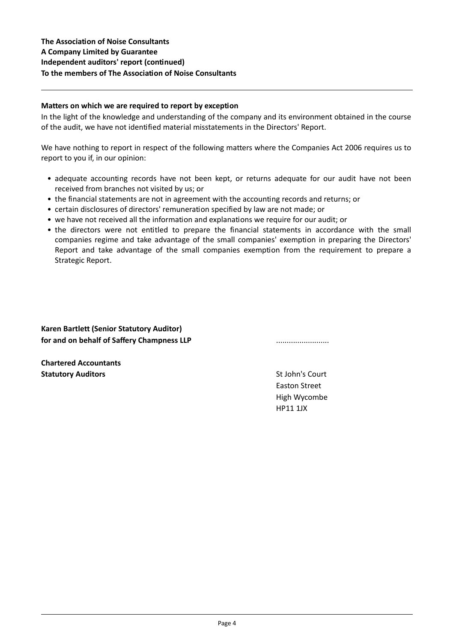# **Matters on which we are required to report by exception**

In the light of the knowledge and understanding of the company and its environment obtained in the course of the audit, we have not identified material misstatements in the Directors' Report.

We have nothing to report in respect of the following matters where the Companies Act 2006 requires us to report to you if, in our opinion:

- adequate accounting records have not been kept, or returns adequate for our audit have not been received from branches not visited by us; or
- the financial statements are not in agreement with the accounting records and returns; or
- certain disclosures of directors' remuneration specified by law are not made; or
- we have not received all the information and explanations we require for our audit; or
- the directors were not entitled to prepare the financial statements in accordance with the small companies regime and take advantage of the small companies' exemption in preparing the Directors' Report and take advantage of the small companies exemption from the requirement to prepare a Strategic Report.

**Karen Bartlett (Senior Statutory Auditor) for and on behalf of Saffery Champness LLP** .........................

**Chartered Accountants Statutory Auditors** St John's Court

Easton Street High Wycombe HP11 1JX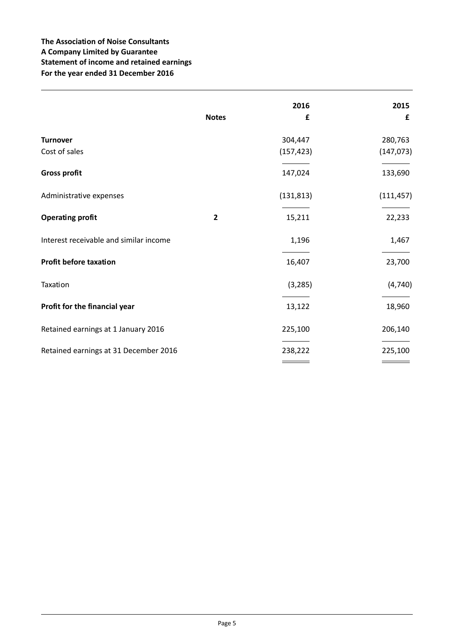|                                        | <b>Notes</b>   | 2016<br>£  | 2015<br>£  |
|----------------------------------------|----------------|------------|------------|
| <b>Turnover</b>                        |                | 304,447    | 280,763    |
| Cost of sales                          |                | (157, 423) | (147, 073) |
| <b>Gross profit</b>                    |                | 147,024    | 133,690    |
| Administrative expenses                |                | (131, 813) | (111, 457) |
| <b>Operating profit</b>                | $\overline{2}$ | 15,211     | 22,233     |
| Interest receivable and similar income |                | 1,196      | 1,467      |
| <b>Profit before taxation</b>          |                | 16,407     | 23,700     |
| Taxation                               |                | (3, 285)   | (4,740)    |
| Profit for the financial year          |                | 13,122     | 18,960     |
| Retained earnings at 1 January 2016    |                | 225,100    | 206,140    |
| Retained earnings at 31 December 2016  |                | 238,222    | 225,100    |
|                                        |                |            |            |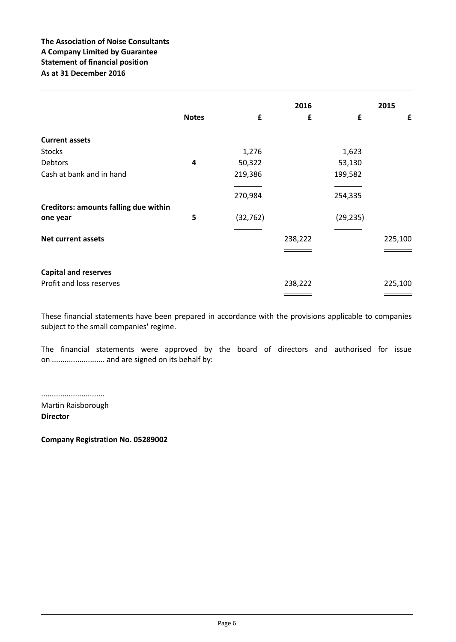|                                       |              |           | 2016    |           | 2015    |
|---------------------------------------|--------------|-----------|---------|-----------|---------|
|                                       | <b>Notes</b> | £         | £       | £         | £       |
| <b>Current assets</b>                 |              |           |         |           |         |
| <b>Stocks</b>                         |              | 1,276     |         | 1,623     |         |
| Debtors                               | 4            | 50,322    |         | 53,130    |         |
| Cash at bank and in hand              |              | 219,386   |         | 199,582   |         |
|                                       |              | 270,984   |         | 254,335   |         |
| Creditors: amounts falling due within |              |           |         |           |         |
| one year                              | 5            | (32, 762) |         | (29, 235) |         |
| <b>Net current assets</b>             |              |           | 238,222 |           | 225,100 |
|                                       |              |           |         |           |         |
| <b>Capital and reserves</b>           |              |           |         |           |         |
| Profit and loss reserves              |              |           | 238,222 |           | 225,100 |
|                                       |              |           |         |           |         |

These financial statements have been prepared in accordance with the provisions applicable to companies subject to the small companies' regime.

The financial statements were approved by the board of directors and authorised for issue on ......................... and are signed on its behalf by:

.............................. Martin Raisborough **Director**

**Company Registration No. 05289002**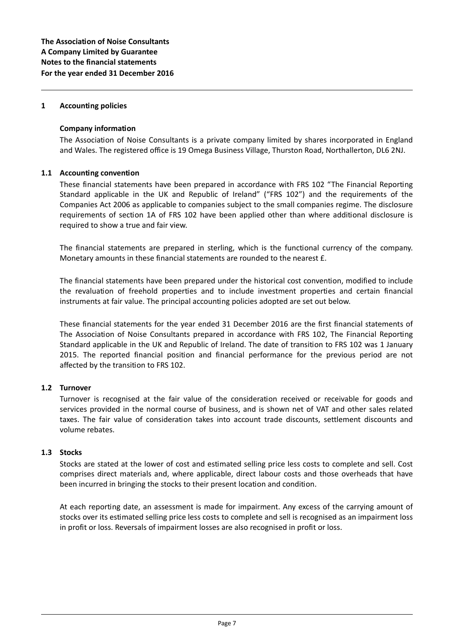#### **1 Accounting policies**

#### **Company information**

The Association of Noise Consultants is a private company limited by shares incorporated in England and Wales. The registered office is 19 Omega Business Village, Thurston Road, Northallerton, DL6 2NJ.

### **1.1 Accounting convention**

These financial statements have been prepared in accordance with FRS 102 "The Financial Reporting Standard applicable in the UK and Republic of Ireland" ("FRS 102") and the requirements of the Companies Act 2006 as applicable to companies subject to the small companies regime. The disclosure requirements of section 1A of FRS 102 have been applied other than where additional disclosure is required to show a true and fair view.

The financial statements are prepared in sterling, which is the functional currency of the company. Monetary amounts in these financial statements are rounded to the nearest £.

The financial statements have been prepared under the historical cost convention, modified to include the revaluation of freehold properties and to include investment properties and certain financial instruments at fair value. The principal accounting policies adopted are set out below.

These financial statements for the year ended 31 December 2016 are the first financial statements of The Association of Noise Consultants prepared in accordance with FRS 102, The Financial Reporting Standard applicable in the UK and Republic of Ireland. The date of transition to FRS 102 was 1 January 2015. The reported financial position and financial performance for the previous period are not affected by the transition to FRS 102.

### **1.2 Turnover**

Turnover is recognised at the fair value of the consideration received or receivable for goods and services provided in the normal course of business, and is shown net of VAT and other sales related taxes. The fair value of consideration takes into account trade discounts, settlement discounts and volume rebates.

### **1.3 Stocks**

Stocks are stated at the lower of cost and estimated selling price less costs to complete and sell. Cost comprises direct materials and, where applicable, direct labour costs and those overheads that have been incurred in bringing the stocks to their present location and condition.

At each reporting date, an assessment is made for impairment. Any excess of the carrying amount of stocks over its estimated selling price less costs to complete and sell is recognised as an impairment loss in profit or loss. Reversals of impairment losses are also recognised in profit or loss.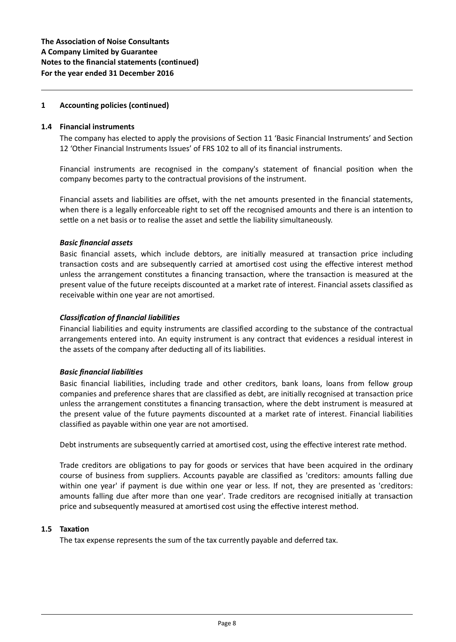### **1 Accounting policies (continued)**

#### **1.4 Financial instruments**

The company has elected to apply the provisions of Section 11 'Basic Financial Instruments' and Section 12 'Other Financial Instruments Issues' of FRS 102 to all of its financial instruments.

Financial instruments are recognised in the company's statement of financial position when the company becomes party to the contractual provisions of the instrument.

Financial assets and liabilities are offset, with the net amounts presented in the financial statements, when there is a legally enforceable right to set off the recognised amounts and there is an intention to settle on a net basis or to realise the asset and settle the liability simultaneously.

#### *Basic financial assets*

Basic financial assets, which include debtors, are initially measured at transaction price including transaction costs and are subsequently carried at amortised cost using the effective interest method unless the arrangement constitutes a financing transaction, where the transaction is measured at the present value of the future receipts discounted at a market rate of interest. Financial assets classified as receivable within one year are not amortised.

#### *Classification of financial liabilities*

Financial liabilities and equity instruments are classified according to the substance of the contractual arrangements entered into. An equity instrument is any contract that evidences a residual interest in the assets of the company after deducting all of its liabilities.

### *Basic financial liabilities*

Basic financial liabilities, including trade and other creditors, bank loans, loans from fellow group companies and preference shares that are classified as debt, are initially recognised at transaction price unless the arrangement constitutes a financing transaction, where the debt instrument is measured at the present value of the future payments discounted at a market rate of interest. Financial liabilities classified as payable within one year are not amortised.

Debt instruments are subsequently carried at amortised cost, using the effective interest rate method.

Trade creditors are obligations to pay for goods or services that have been acquired in the ordinary course of business from suppliers. Accounts payable are classified as 'creditors: amounts falling due within one year' if payment is due within one year or less. If not, they are presented as 'creditors: amounts falling due after more than one year'. Trade creditors are recognised initially at transaction price and subsequently measured at amortised cost using the effective interest method.

#### **1.5 Taxation**

The tax expense represents the sum of the tax currently payable and deferred tax.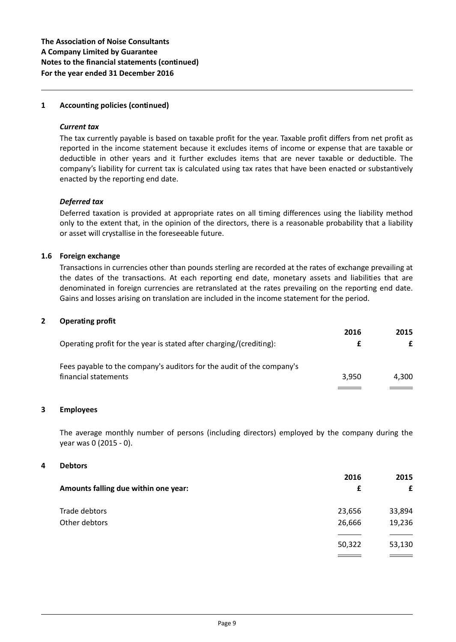## **1 Accounting policies (continued)**

#### *Current tax*

The tax currently payable is based on taxable profit for the year. Taxable profit differs from net profit as reported in the income statement because it excludes items of income or expense that are taxable or deductible in other years and it further excludes items that are never taxable or deductible. The company's liability for current tax is calculated using tax rates that have been enacted or substantively enacted by the reporting end date.

### *Deferred tax*

Deferred taxation is provided at appropriate rates on all timing differences using the liability method only to the extent that, in the opinion of the directors, there is a reasonable probability that a liability or asset will crystallise in the foreseeable future.

### **1.6 Foreign exchange**

Transactions in currencies other than pounds sterling are recorded at the rates of exchange prevailing at the dates of the transactions. At each reporting end date, monetary assets and liabilities that are denominated in foreign currencies are retranslated at the rates prevailing on the reporting end date. Gains and losses arising on translation are included in the income statement for the period.

#### **2 Operating profit**

|                                                                       | 2016  | 2015  |
|-----------------------------------------------------------------------|-------|-------|
| Operating profit for the year is stated after charging/(crediting):   |       |       |
| Fees payable to the company's auditors for the audit of the company's |       |       |
| financial statements                                                  | 3.950 | 4.300 |
|                                                                       |       |       |

#### **3 Employees**

The average monthly number of persons (including directors) employed by the company during the year was 0 (2015 - 0).

#### **4 Debtors**

|                                      | 2016   | 2015   |
|--------------------------------------|--------|--------|
| Amounts falling due within one year: | £      | £      |
| Trade debtors                        | 23,656 | 33,894 |
| Other debtors                        | 26,666 | 19,236 |
|                                      |        |        |
|                                      | 50,322 | 53,130 |
|                                      |        |        |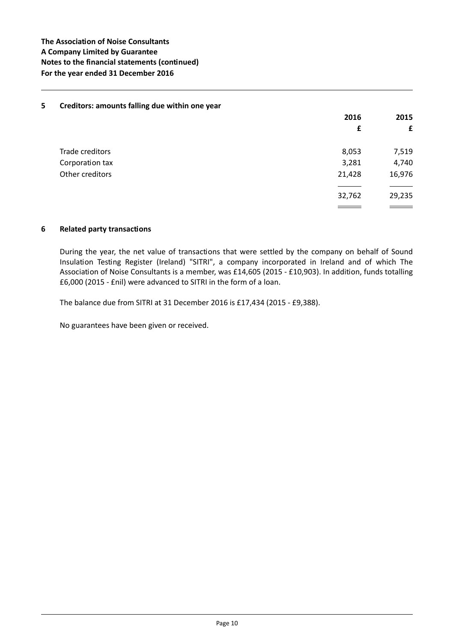| 5. | Creditors: amounts falling due within one year |        |        |
|----|------------------------------------------------|--------|--------|
|    |                                                | 2016   | 2015   |
|    |                                                | £      | £      |
|    | Trade creditors                                | 8,053  | 7,519  |
|    | Corporation tax                                | 3,281  | 4,740  |
|    | Other creditors                                | 21,428 | 16,976 |
|    |                                                |        |        |
|    |                                                | 32,762 | 29,235 |
|    |                                                |        |        |

### **6 Related party transactions**

During the year, the net value of transactions that were settled by the company on behalf of Sound Insulation Testing Register (Ireland) "SITRI", a company incorporated in Ireland and of which The Association of Noise Consultants is a member, was £14,605 (2015 - £10,903). In addition, funds totalling £6,000 (2015 - £nil) were advanced to SITRI in the form of a loan.

The balance due from SITRI at 31 December 2016 is £17,434 (2015 - £9,388).

No guarantees have been given or received.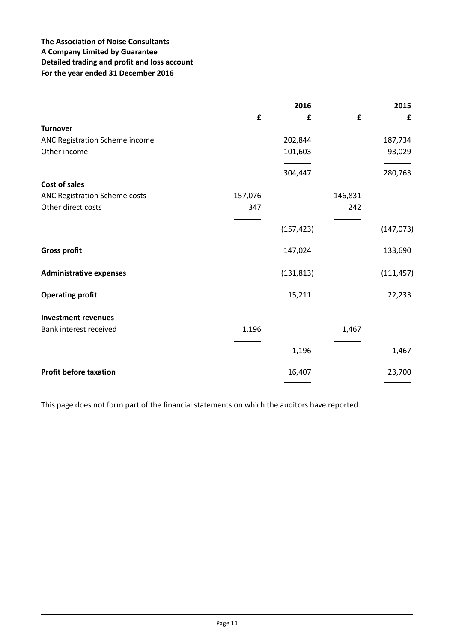|                                |         | 2016       |         | 2015       |
|--------------------------------|---------|------------|---------|------------|
|                                | £       | £          | £       | £          |
| <b>Turnover</b>                |         |            |         |            |
| ANC Registration Scheme income |         | 202,844    |         | 187,734    |
| Other income                   |         | 101,603    |         | 93,029     |
|                                |         | 304,447    |         | 280,763    |
| <b>Cost of sales</b>           |         |            |         |            |
| ANC Registration Scheme costs  | 157,076 |            | 146,831 |            |
| Other direct costs             | 347     |            | 242     |            |
|                                |         | (157, 423) |         | (147, 073) |
|                                |         |            |         |            |
| <b>Gross profit</b>            |         | 147,024    |         | 133,690    |
| <b>Administrative expenses</b> |         | (131, 813) |         | (111, 457) |
| <b>Operating profit</b>        |         | 15,211     |         | 22,233     |
| <b>Investment revenues</b>     |         |            |         |            |
| Bank interest received         | 1,196   |            | 1,467   |            |
|                                |         | 1,196      |         | 1,467      |
| <b>Profit before taxation</b>  |         | 16,407     |         | 23,700     |
|                                |         |            |         |            |

This page does not form part of the financial statements on which the auditors have reported.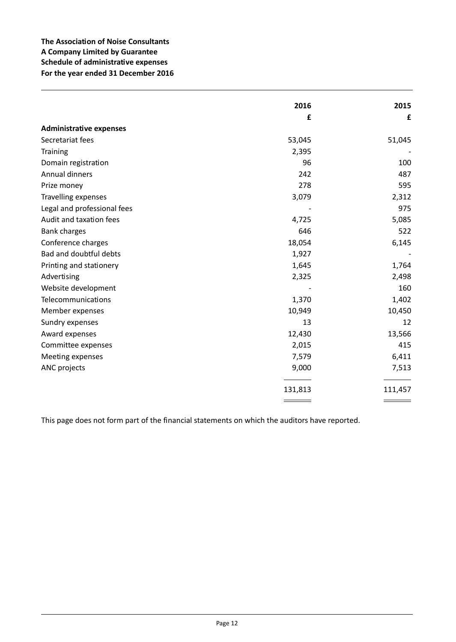|                                | 2016    | 2015    |
|--------------------------------|---------|---------|
|                                | £       | £       |
| <b>Administrative expenses</b> |         |         |
| Secretariat fees               | 53,045  | 51,045  |
| <b>Training</b>                | 2,395   |         |
| Domain registration            | 96      | 100     |
| Annual dinners                 | 242     | 487     |
| Prize money                    | 278     | 595     |
| <b>Travelling expenses</b>     | 3,079   | 2,312   |
| Legal and professional fees    |         | 975     |
| Audit and taxation fees        | 4,725   | 5,085   |
| <b>Bank charges</b>            | 646     | 522     |
| Conference charges             | 18,054  | 6,145   |
| Bad and doubtful debts         | 1,927   |         |
| Printing and stationery        | 1,645   | 1,764   |
| Advertising                    | 2,325   | 2,498   |
| Website development            |         | 160     |
| Telecommunications             | 1,370   | 1,402   |
| Member expenses                | 10,949  | 10,450  |
| Sundry expenses                | 13      | 12      |
| Award expenses                 | 12,430  | 13,566  |
| Committee expenses             | 2,015   | 415     |
| Meeting expenses               | 7,579   | 6,411   |
| ANC projects                   | 9,000   | 7,513   |
|                                | 131,813 | 111,457 |
|                                |         |         |

This page does not form part of the financial statements on which the auditors have reported.